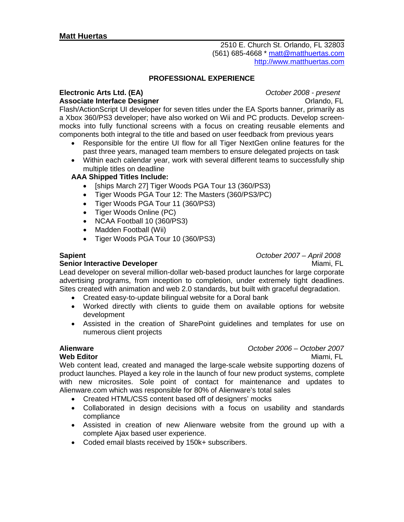2510 E. Church St. Orlando, FL 32803 (561) 685-4668 \* [matt@matthuertas.com](mailto:matt@matthuertas.com) [http://www.matthuertas.com](http://www.matthuertas.com/)

## **PROFESSIONAL EXPERIENCE**

### **Electronic Arts Ltd. (EA)** *October 2008 - present* **Associate Interface Designer Constanting Constanting Constanting Constanting Constanting Orlando, FL**

Flash/ActionScript UI developer for seven titles under the EA Sports banner, primarily as a Xbox 360/PS3 developer; have also worked on Wii and PC products. Develop screenmocks into fully functional screens with a focus on creating reusable elements and components both integral to the title and based on user feedback from previous years

- Responsible for the entire UI flow for all Tiger NextGen online features for the past three years, managed team members to ensure delegated projects on task
- Within each calendar year, work with several different teams to successfully ship multiple titles on deadline

## **AAA Shipped Titles Include:**

- [ships March 27] Tiger Woods PGA Tour 13 (360/PS3)
- Tiger Woods PGA Tour 12: The Masters (360/PS3/PC)
- Tiger Woods PGA Tour 11 (360/PS3)
- Tiger Woods Online (PC)
- NCAA Football 10 (360/PS3)
- Madden Football (Wii)
- Tiger Woods PGA Tour 10 (360/PS3)

## **Senior Interactive Developer** Miami, FL

**Sapient** *October 2007 – April 2008*

Lead developer on several million-dollar web-based product launches for large corporate advertising programs, from inception to completion, under extremely tight deadlines. Sites created with animation and web 2.0 standards, but built with graceful degradation.

- Created easy-to-update bilingual website for a Doral bank
- Worked directly with clients to guide them on available options for website development
- Assisted in the creation of SharePoint guidelines and templates for use on numerous client projects

# **Alienware** *October 2006 – October 2007*

**Web Editor** Miami, FL Web content lead, created and managed the large-scale website supporting dozens of product launches. Played a key role in the launch of four new product systems, complete with new microsites. Sole point of contact for maintenance and updates to Alienware.com which was responsible for 80% of Alienware's total sales

- Created HTML/CSS content based off of designers' mocks
- Collaborated in design decisions with a focus on usability and standards compliance
- Assisted in creation of new Alienware website from the ground up with a complete Ajax based user experience.
- Coded email blasts received by 150k+ subscribers.